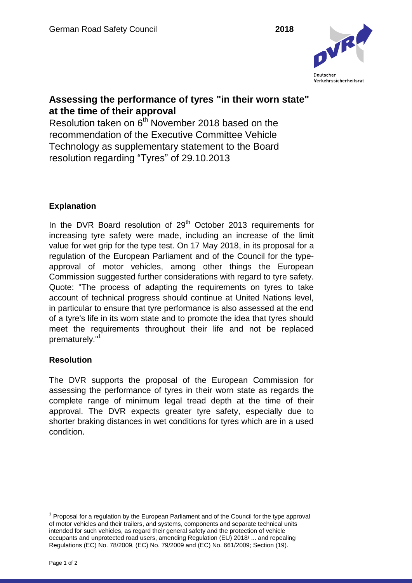

## **Assessing the performance of tyres "in their worn state" at the time of their approval**

Resolution taken on 6<sup>th</sup> November 2018 based on the recommendation of the Executive Committee Vehicle Technology as supplementary statement to the Board resolution regarding "Tyres" of 29.10.2013

## **Explanation**

In the DVR Board resolution of  $29<sup>th</sup>$  October 2013 requirements for increasing tyre safety were made, including an increase of the limit value for wet grip for the type test. On 17 May 2018, in its proposal for a regulation of the European Parliament and of the Council for the typeapproval of motor vehicles, among other things the European Commission suggested further considerations with regard to tyre safety. Quote: "The process of adapting the requirements on tyres to take account of technical progress should continue at United Nations level, in particular to ensure that tyre performance is also assessed at the end of a tyre's life in its worn state and to promote the idea that tyres should meet the requirements throughout their life and not be replaced prematurely."<sup>1</sup>

## **Resolution**

The DVR supports the proposal of the European Commission for assessing the performance of tyres in their worn state as regards the complete range of minimum legal tread depth at the time of their approval. The DVR expects greater tyre safety, especially due to shorter braking distances in wet conditions for tyres which are in a used condition.

 $\overline{a}$  $1$  Proposal for a regulation by the European Parliament and of the Council for the type approval of motor vehicles and their trailers, and systems, components and separate technical units intended for such vehicles, as regard their general safety and the protection of vehicle occupants and unprotected road users, amending Regulation (EU) 2018/ ... and repealing Regulations (EC) No. 78/2009, (EC) No. 79/2009 and (EC) No. 661/2009; Section (19).